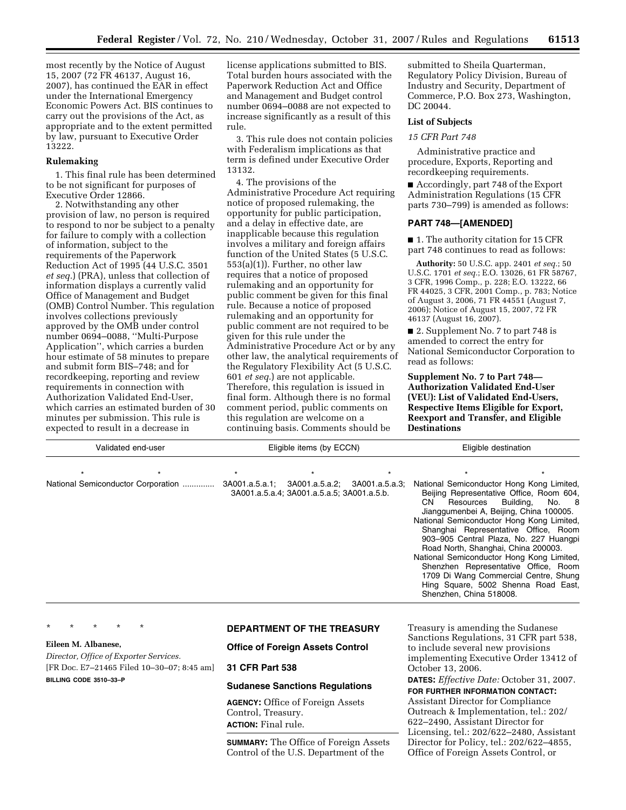most recently by the Notice of August 15, 2007 (72 FR 46137, August 16, 2007), has continued the EAR in effect under the International Emergency Economic Powers Act. BIS continues to carry out the provisions of the Act, as appropriate and to the extent permitted by law, pursuant to Executive Order 13222.

## **Rulemaking**

1. This final rule has been determined to be not significant for purposes of Executive Order 12866.

2. Notwithstanding any other provision of law, no person is required to respond to nor be subject to a penalty for failure to comply with a collection of information, subject to the requirements of the Paperwork Reduction Act of 1995 (44 U.S.C. 3501 *et seq.*) (PRA), unless that collection of information displays a currently valid Office of Management and Budget (OMB) Control Number. This regulation involves collections previously approved by the OMB under control number 0694–0088, ''Multi-Purpose Application'', which carries a burden hour estimate of 58 minutes to prepare and submit form BIS–748; and for recordkeeping, reporting and review requirements in connection with Authorization Validated End-User, which carries an estimated burden of 30 minutes per submission. This rule is expected to result in a decrease in

license applications submitted to BIS. Total burden hours associated with the Paperwork Reduction Act and Office and Management and Budget control number 0694–0088 are not expected to increase significantly as a result of this rule.

3. This rule does not contain policies with Federalism implications as that term is defined under Executive Order 13132.

4. The provisions of the Administrative Procedure Act requiring notice of proposed rulemaking, the opportunity for public participation, and a delay in effective date, are inapplicable because this regulation involves a military and foreign affairs function of the United States (5 U.S.C. 553(a)(1)). Further, no other law requires that a notice of proposed rulemaking and an opportunity for public comment be given for this final rule. Because a notice of proposed rulemaking and an opportunity for public comment are not required to be given for this rule under the Administrative Procedure Act or by any other law, the analytical requirements of the Regulatory Flexibility Act (5 U.S.C. 601 *et seq.*) are not applicable. Therefore, this regulation is issued in final form. Although there is no formal comment period, public comments on this regulation are welcome on a continuing basis. Comments should be

submitted to Sheila Quarterman, Regulatory Policy Division, Bureau of Industry and Security, Department of Commerce, P.O. Box 273, Washington, DC 20044.

## **List of Subjects**

## *15 CFR Part 748*

Administrative practice and procedure, Exports, Reporting and recordkeeping requirements.

■ Accordingly, part 748 of the Export Administration Regulations (15 CFR parts 730–799) is amended as follows:

### **PART 748—[AMENDED]**

■ 1. The authority citation for 15 CFR part 748 continues to read as follows:

**Authority:** 50 U.S.C. app. 2401 *et seq.*; 50 U.S.C. 1701 *et seq.*; E.O. 13026, 61 FR 58767, 3 CFR, 1996 Comp., p. 228; E.O. 13222, 66 FR 44025, 3 CFR, 2001 Comp., p. 783; Notice of August 3, 2006, 71 FR 44551 (August 7, 2006); Notice of August 15, 2007, 72 FR 46137 (August 16, 2007).

■ 2. Supplement No. 7 to part 748 is amended to correct the entry for National Semiconductor Corporation to read as follows:

**Supplement No. 7 to Part 748— Authorization Validated End-User (VEU): List of Validated End-Users, Respective Items Eligible for Export, Reexport and Transfer, and Eligible Destinations** 

| Validated end-user                                                   | Eligible items (by ECCN)                                                                   |                                                                                                                                     | Eligible destination                                                                                                                                                                                                                                                                                                                                                                                                                                                                                                                             |  |
|----------------------------------------------------------------------|--------------------------------------------------------------------------------------------|-------------------------------------------------------------------------------------------------------------------------------------|--------------------------------------------------------------------------------------------------------------------------------------------------------------------------------------------------------------------------------------------------------------------------------------------------------------------------------------------------------------------------------------------------------------------------------------------------------------------------------------------------------------------------------------------------|--|
|                                                                      | $\star$                                                                                    |                                                                                                                                     |                                                                                                                                                                                                                                                                                                                                                                                                                                                                                                                                                  |  |
| National Semiconductor Corporation                                   | 3A001.a.5.a.1; 3A001.a.5.a.2; 3A001.a.5.a.3;<br>3A001.a.5.a.4; 3A001.a.5.a.5; 3A001.a.5.b. |                                                                                                                                     | National Semiconductor Hong Kong Limited,<br>Beijing Representative Office, Room 604,<br>CN.<br>Resources<br>Building,<br>No. 8<br>Jianggumenbei A, Beijing, China 100005.<br>National Semiconductor Hong Kong Limited,<br>Shanghai Representative Office, Room<br>903-905 Central Plaza, No. 227 Huangpi<br>Road North, Shanghai, China 200003.<br>National Semiconductor Hong Kong Limited,<br>Shenzhen Representative Office, Room<br>1709 Di Wang Commercial Centre, Shung<br>Hing Square, 5002 Shenna Road East,<br>Shenzhen, China 518008. |  |
| $\star$<br>$\star$<br>$\star$                                        | <b>DEPARTMENT OF THE TREASURY</b>                                                          |                                                                                                                                     | Treasury is amending the Sudanese                                                                                                                                                                                                                                                                                                                                                                                                                                                                                                                |  |
| Eileen M. Albanese,<br>Director, Office of Exporter Services.        | <b>Office of Foreign Assets Control</b>                                                    |                                                                                                                                     | Sanctions Regulations, 31 CFR part 538,<br>to include several new provisions<br>implementing Executive Order 13412 of<br>October 13, 2006.                                                                                                                                                                                                                                                                                                                                                                                                       |  |
| [FR Doc. E7-21465 Filed 10-30-07; 8:45 am]<br>BILLING CODE 3510-33-P | <b>31 CFR Part 538</b>                                                                     |                                                                                                                                     |                                                                                                                                                                                                                                                                                                                                                                                                                                                                                                                                                  |  |
|                                                                      |                                                                                            | <b>DATES:</b> <i>Effective Date:</i> October 31, 2007.<br><b>Sudanese Sanctions Regulations</b><br>FOR FURTHER INFORMATION CONTACT: |                                                                                                                                                                                                                                                                                                                                                                                                                                                                                                                                                  |  |
|                                                                      | <b>AGENCY:</b> Office of Foreign Assets                                                    |                                                                                                                                     | Assistant Director for Compliance                                                                                                                                                                                                                                                                                                                                                                                                                                                                                                                |  |

**SUMMARY:** The Office of Foreign Assets Control of the U.S. Department of the

Control, Treasury. **ACTION:** Final rule.

Assistant Director for Compliance Outreach & Implementation, tel.: 202/ 622–2490, Assistant Director for Licensing, tel.: 202/622–2480, Assistant Director for Policy, tel.: 202/622–4855, Office of Foreign Assets Control, or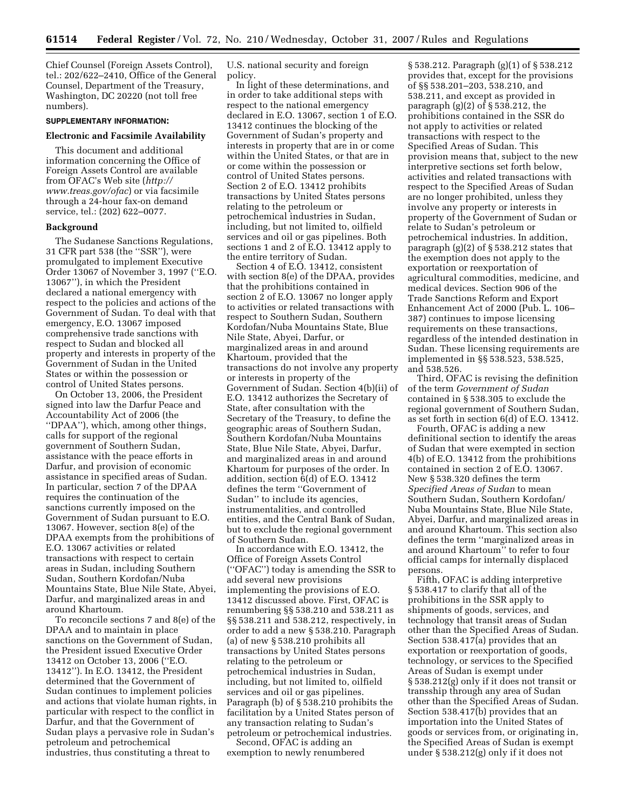Chief Counsel (Foreign Assets Control), tel.: 202/622–2410, Office of the General Counsel, Department of the Treasury, Washington, DC 20220 (not toll free numbers).

### **SUPPLEMENTARY INFORMATION:**

### **Electronic and Facsimile Availability**

This document and additional information concerning the Office of Foreign Assets Control are available from OFAC's Web site (*http:// www.treas.gov/ofac*) or via facsimile through a 24-hour fax-on demand service, tel.: (202) 622–0077.

## **Background**

The Sudanese Sanctions Regulations, 31 CFR part 538 (the ''SSR''), were promulgated to implement Executive Order 13067 of November 3, 1997 (''E.O. 13067''), in which the President declared a national emergency with respect to the policies and actions of the Government of Sudan. To deal with that emergency, E.O. 13067 imposed comprehensive trade sanctions with respect to Sudan and blocked all property and interests in property of the Government of Sudan in the United States or within the possession or control of United States persons.

On October 13, 2006, the President signed into law the Darfur Peace and Accountability Act of 2006 (the ''DPAA''), which, among other things, calls for support of the regional government of Southern Sudan, assistance with the peace efforts in Darfur, and provision of economic assistance in specified areas of Sudan. In particular, section 7 of the DPAA requires the continuation of the sanctions currently imposed on the Government of Sudan pursuant to E.O. 13067. However, section 8(e) of the DPAA exempts from the prohibitions of E.O. 13067 activities or related transactions with respect to certain areas in Sudan, including Southern Sudan, Southern Kordofan/Nuba Mountains State, Blue Nile State, Abyei, Darfur, and marginalized areas in and around Khartoum.

To reconcile sections 7 and 8(e) of the DPAA and to maintain in place sanctions on the Government of Sudan, the President issued Executive Order 13412 on October 13, 2006 (''E.O. 13412''). In E.O. 13412, the President determined that the Government of Sudan continues to implement policies and actions that violate human rights, in particular with respect to the conflict in Darfur, and that the Government of Sudan plays a pervasive role in Sudan's petroleum and petrochemical industries, thus constituting a threat to

U.S. national security and foreign policy.

In light of these determinations, and in order to take additional steps with respect to the national emergency declared in E.O. 13067, section 1 of E.O. 13412 continues the blocking of the Government of Sudan's property and interests in property that are in or come within the United States, or that are in or come within the possession or control of United States persons. Section 2 of E.O. 13412 prohibits transactions by United States persons relating to the petroleum or petrochemical industries in Sudan, including, but not limited to, oilfield services and oil or gas pipelines. Both sections 1 and 2 of E.O. 13412 apply to the entire territory of Sudan.

Section 4 of E.O. 13412, consistent with section 8(e) of the DPAA, provides that the prohibitions contained in section 2 of E.O. 13067 no longer apply to activities or related transactions with respect to Southern Sudan, Southern Kordofan/Nuba Mountains State, Blue Nile State, Abyei, Darfur, or marginalized areas in and around Khartoum, provided that the transactions do not involve any property or interests in property of the Government of Sudan. Section 4(b)(ii) of E.O. 13412 authorizes the Secretary of State, after consultation with the Secretary of the Treasury, to define the geographic areas of Southern Sudan, Southern Kordofan/Nuba Mountains State, Blue Nile State, Abyei, Darfur, and marginalized areas in and around Khartoum for purposes of the order. In addition, section 6(d) of E.O. 13412 defines the term ''Government of Sudan'' to include its agencies, instrumentalities, and controlled entities, and the Central Bank of Sudan, but to exclude the regional government of Southern Sudan.

In accordance with E.O. 13412, the Office of Foreign Assets Control (''OFAC'') today is amending the SSR to add several new provisions implementing the provisions of E.O. 13412 discussed above. First, OFAC is renumbering §§ 538.210 and 538.211 as §§ 538.211 and 538.212, respectively, in order to add a new § 538.210. Paragraph (a) of new § 538.210 prohibits all transactions by United States persons relating to the petroleum or petrochemical industries in Sudan, including, but not limited to, oilfield services and oil or gas pipelines. Paragraph (b) of § 538.210 prohibits the facilitation by a United States person of any transaction relating to Sudan's petroleum or petrochemical industries. Second, OFAC is adding an

exemption to newly renumbered

§ 538.212. Paragraph (g)(1) of § 538.212 provides that, except for the provisions of §§ 538.201–203, 538.210, and 538.211, and except as provided in paragraph (g)(2) of  $\S 538.212$ , the prohibitions contained in the SSR do not apply to activities or related transactions with respect to the Specified Areas of Sudan. This provision means that, subject to the new interpretive sections set forth below, activities and related transactions with respect to the Specified Areas of Sudan are no longer prohibited, unless they involve any property or interests in property of the Government of Sudan or relate to Sudan's petroleum or petrochemical industries. In addition, paragraph (g)(2) of § 538.212 states that the exemption does not apply to the exportation or reexportation of agricultural commodities, medicine, and medical devices. Section 906 of the Trade Sanctions Reform and Export Enhancement Act of 2000 (Pub. L. 106– 387) continues to impose licensing requirements on these transactions, regardless of the intended destination in Sudan. These licensing requirements are implemented in §§ 538.523, 538.525, and 538.526.

Third, OFAC is revising the definition of the term *Government of Sudan*  contained in § 538.305 to exclude the regional government of Southern Sudan, as set forth in section 6(d) of E.O. 13412.

Fourth, OFAC is adding a new definitional section to identify the areas of Sudan that were exempted in section 4(b) of E.O. 13412 from the prohibitions contained in section 2 of E.O. 13067. New § 538.320 defines the term *Specified Areas of Sudan* to mean Southern Sudan, Southern Kordofan/ Nuba Mountains State, Blue Nile State, Abyei, Darfur, and marginalized areas in and around Khartoum. This section also defines the term ''marginalized areas in and around Khartoum'' to refer to four official camps for internally displaced persons.

Fifth, OFAC is adding interpretive § 538.417 to clarify that all of the prohibitions in the SSR apply to shipments of goods, services, and technology that transit areas of Sudan other than the Specified Areas of Sudan. Section 538.417(a) provides that an exportation or reexportation of goods, technology, or services to the Specified Areas of Sudan is exempt under § 538.212(g) only if it does not transit or transship through any area of Sudan other than the Specified Areas of Sudan. Section 538.417(b) provides that an importation into the United States of goods or services from, or originating in, the Specified Areas of Sudan is exempt under § 538.212(g) only if it does not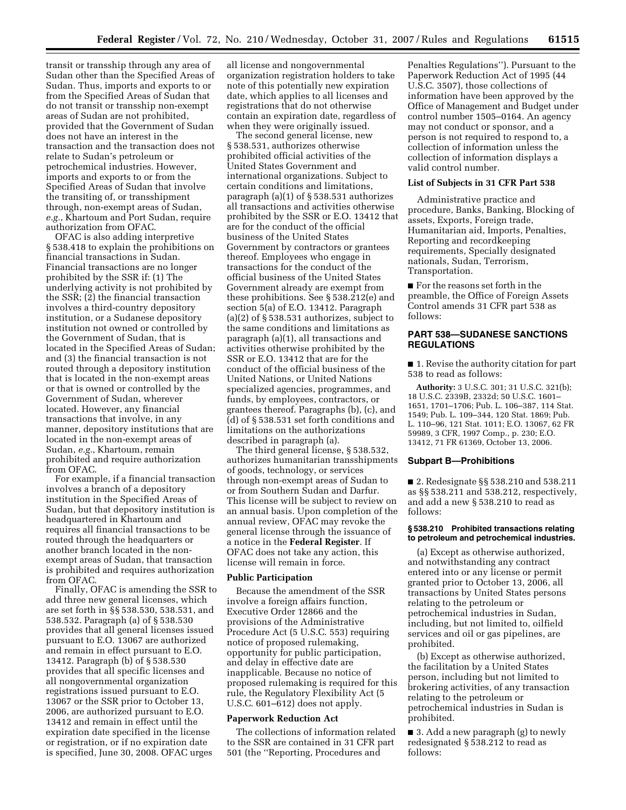transit or transship through any area of Sudan other than the Specified Areas of Sudan. Thus, imports and exports to or from the Specified Areas of Sudan that do not transit or transship non-exempt areas of Sudan are not prohibited, provided that the Government of Sudan does not have an interest in the transaction and the transaction does not relate to Sudan's petroleum or petrochemical industries. However, imports and exports to or from the Specified Areas of Sudan that involve the transiting of, or transshipment through, non-exempt areas of Sudan, *e.g.*, Khartoum and Port Sudan, require authorization from OFAC.

OFAC is also adding interpretive § 538.418 to explain the prohibitions on financial transactions in Sudan. Financial transactions are no longer prohibited by the SSR if: (1) The underlying activity is not prohibited by the SSR; (2) the financial transaction involves a third-country depository institution, or a Sudanese depository institution not owned or controlled by the Government of Sudan, that is located in the Specified Areas of Sudan; and (3) the financial transaction is not routed through a depository institution that is located in the non-exempt areas or that is owned or controlled by the Government of Sudan, wherever located. However, any financial transactions that involve, in any manner, depository institutions that are located in the non-exempt areas of Sudan, *e.g.*, Khartoum, remain prohibited and require authorization from OFAC.

For example, if a financial transaction involves a branch of a depository institution in the Specified Areas of Sudan, but that depository institution is headquartered in Khartoum and requires all financial transactions to be routed through the headquarters or another branch located in the nonexempt areas of Sudan, that transaction is prohibited and requires authorization from OFAC.

Finally, OFAC is amending the SSR to add three new general licenses, which are set forth in §§ 538.530, 538.531, and 538.532. Paragraph (a) of § 538.530 provides that all general licenses issued pursuant to E.O. 13067 are authorized and remain in effect pursuant to E.O. 13412. Paragraph (b) of § 538.530 provides that all specific licenses and all nongovernmental organization registrations issued pursuant to E.O. 13067 or the SSR prior to October 13, 2006, are authorized pursuant to E.O. 13412 and remain in effect until the expiration date specified in the license or registration, or if no expiration date is specified, June 30, 2008. OFAC urges

all license and nongovernmental organization registration holders to take note of this potentially new expiration date, which applies to all licenses and registrations that do not otherwise contain an expiration date, regardless of when they were originally issued.

The second general license, new § 538.531, authorizes otherwise prohibited official activities of the United States Government and international organizations. Subject to certain conditions and limitations, paragraph (a)(1) of § 538.531 authorizes all transactions and activities otherwise prohibited by the SSR or E.O. 13412 that are for the conduct of the official business of the United States Government by contractors or grantees thereof. Employees who engage in transactions for the conduct of the official business of the United States Government already are exempt from these prohibitions. See § 538.212(e) and section 5(a) of E.O. 13412. Paragraph (a)(2) of § 538.531 authorizes, subject to the same conditions and limitations as paragraph (a)(1), all transactions and activities otherwise prohibited by the SSR or E.O. 13412 that are for the conduct of the official business of the United Nations, or United Nations specialized agencies, programmes, and funds, by employees, contractors, or grantees thereof. Paragraphs (b), (c), and (d) of § 538.531 set forth conditions and limitations on the authorizations described in paragraph (a).

The third general license, § 538.532, authorizes humanitarian transshipments of goods, technology, or services through non-exempt areas of Sudan to or from Southern Sudan and Darfur. This license will be subject to review on an annual basis. Upon completion of the annual review, OFAC may revoke the general license through the issuance of a notice in the **Federal Register**. If OFAC does not take any action, this license will remain in force.

# **Public Participation**

Because the amendment of the SSR involve a foreign affairs function, Executive Order 12866 and the provisions of the Administrative Procedure Act (5 U.S.C. 553) requiring notice of proposed rulemaking, opportunity for public participation, and delay in effective date are inapplicable. Because no notice of proposed rulemaking is required for this rule, the Regulatory Flexibility Act (5 U.S.C. 601–612) does not apply.

### **Paperwork Reduction Act**

The collections of information related to the SSR are contained in 31 CFR part 501 (the ''Reporting, Procedures and

Penalties Regulations''). Pursuant to the Paperwork Reduction Act of 1995 (44 U.S.C. 3507), those collections of information have been approved by the Office of Management and Budget under control number 1505–0164. An agency may not conduct or sponsor, and a person is not required to respond to, a collection of information unless the collection of information displays a valid control number.

#### **List of Subjects in 31 CFR Part 538**

Administrative practice and procedure, Banks, Banking, Blocking of assets, Exports, Foreign trade, Humanitarian aid, Imports, Penalties, Reporting and recordkeeping requirements, Specially designated nationals, Sudan, Terrorism, Transportation.

■ For the reasons set forth in the preamble, the Office of Foreign Assets Control amends 31 CFR part 538 as follows:

## **PART 538—SUDANESE SANCTIONS REGULATIONS**

■ 1. Revise the authority citation for part 538 to read as follows:

**Authority:** 3 U.S.C. 301; 31 U.S.C. 321(b); 18 U.S.C. 2339B, 2332d; 50 U.S.C. 1601– 1651, 1701–1706; Pub. L. 106–387, 114 Stat. 1549; Pub. L. 109–344, 120 Stat. 1869; Pub. L. 110–96, 121 Stat. 1011; E.O. 13067, 62 FR 59989, 3 CFR, 1997 Comp., p. 230; E.O. 13412, 71 FR 61369, October 13, 2006.

## **Subpart B—Prohibitions**

■ 2. Redesignate §§ 538.210 and 538.211 as §§ 538.211 and 538.212, respectively, and add a new § 538.210 to read as follows:

### **§ 538.210 Prohibited transactions relating to petroleum and petrochemical industries.**

(a) Except as otherwise authorized, and notwithstanding any contract entered into or any license or permit granted prior to October 13, 2006, all transactions by United States persons relating to the petroleum or petrochemical industries in Sudan, including, but not limited to, oilfield services and oil or gas pipelines, are prohibited.

(b) Except as otherwise authorized, the facilitation by a United States person, including but not limited to brokering activities, of any transaction relating to the petroleum or petrochemical industries in Sudan is prohibited.

■ 3. Add a new paragraph (g) to newly redesignated § 538.212 to read as follows: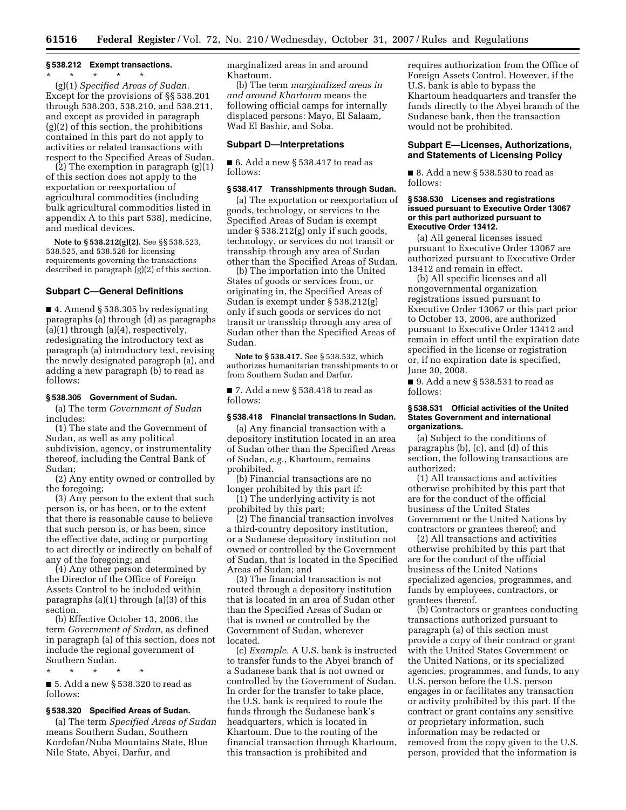# **§ 538.212 Exempt transactions.**

\* \* \* \* \* (g)(1) *Specified Areas of Sudan.*  Except for the provisions of §§ 538.201 through 538.203, 538.210, and 538.211, and except as provided in paragraph (g)(2) of this section, the prohibitions contained in this part do not apply to activities or related transactions with respect to the Specified Areas of Sudan.

(2) The exemption in paragraph (g)(1) of this section does not apply to the exportation or reexportation of agricultural commodities (including bulk agricultural commodities listed in appendix A to this part 538), medicine, and medical devices.

**Note to § 538.212(g)(2).** See §§ 538.523, 538.525, and 538.526 for licensing requirements governing the transactions described in paragraph (g)(2) of this section.

# **Subpart C—General Definitions**

■ 4. Amend § 538.305 by redesignating paragraphs (a) through (d) as paragraphs  $(a)(1)$  through  $(a)(4)$ , respectively, redesignating the introductory text as paragraph (a) introductory text, revising the newly designated paragraph (a), and adding a new paragraph (b) to read as follows:

# **§ 538.305 Government of Sudan.**

(a) The term *Government of Sudan*  includes:

(1) The state and the Government of Sudan, as well as any political subdivision, agency, or instrumentality thereof, including the Central Bank of Sudan;

(2) Any entity owned or controlled by the foregoing;

(3) Any person to the extent that such person is, or has been, or to the extent that there is reasonable cause to believe that such person is, or has been, since the effective date, acting or purporting to act directly or indirectly on behalf of any of the foregoing; and

(4) Any other person determined by the Director of the Office of Foreign Assets Control to be included within paragraphs (a)(1) through (a)(3) of this section.

(b) Effective October 13, 2006, the term *Government of Sudan,* as defined in paragraph (a) of this section, does not include the regional government of Southern Sudan.

\* \* \* \* \*

■ 5. Add a new § 538.320 to read as follows:

## **§ 538.320 Specified Areas of Sudan.**

(a) The term *Specified Areas of Sudan*  means Southern Sudan, Southern Kordofan/Nuba Mountains State, Blue Nile State, Abyei, Darfur, and

marginalized areas in and around Khartoum.

(b) The term *marginalized areas in and around Khartoum* means the following official camps for internally displaced persons: Mayo, El Salaam, Wad El Bashir, and Soba.

## **Subpart D—Interpretations**

■ 6. Add a new § 538.417 to read as follows:

#### **§ 538.417 Transshipments through Sudan.**

(a) The exportation or reexportation of goods, technology, or services to the Specified Areas of Sudan is exempt under § 538.212(g) only if such goods, technology, or services do not transit or transship through any area of Sudan other than the Specified Areas of Sudan.

(b) The importation into the United States of goods or services from, or originating in, the Specified Areas of Sudan is exempt under § 538.212(g) only if such goods or services do not transit or transship through any area of Sudan other than the Specified Areas of Sudan.

**Note to § 538.417.** See § 538.532, which authorizes humanitarian transshipments to or from Southern Sudan and Darfur.

■ 7. Add a new § 538.418 to read as follows:

### **§ 538.418 Financial transactions in Sudan.**

(a) Any financial transaction with a depository institution located in an area of Sudan other than the Specified Areas of Sudan, *e.g.*, Khartoum, remains prohibited.

(b) Financial transactions are no

longer prohibited by this part if: (1) The underlying activity is not prohibited by this part;

(2) The financial transaction involves a third-country depository institution, or a Sudanese depository institution not owned or controlled by the Government of Sudan, that is located in the Specified Areas of Sudan; and

(3) The financial transaction is not routed through a depository institution that is located in an area of Sudan other than the Specified Areas of Sudan or that is owned or controlled by the Government of Sudan, wherever located.

(c) *Example.* A U.S. bank is instructed to transfer funds to the Abyei branch of a Sudanese bank that is not owned or controlled by the Government of Sudan. In order for the transfer to take place, the U.S. bank is required to route the funds through the Sudanese bank's headquarters, which is located in Khartoum. Due to the routing of the financial transaction through Khartoum, this transaction is prohibited and

requires authorization from the Office of Foreign Assets Control. However, if the U.S. bank is able to bypass the Khartoum headquarters and transfer the funds directly to the Abyei branch of the Sudanese bank, then the transaction would not be prohibited.

# **Subpart E—Licenses, Authorizations, and Statements of Licensing Policy**

■ 8. Add a new § 538.530 to read as follows:

#### **§ 538.530 Licenses and registrations issued pursuant to Executive Order 13067 or this part authorized pursuant to Executive Order 13412.**

(a) All general licenses issued pursuant to Executive Order 13067 are authorized pursuant to Executive Order 13412 and remain in effect.

(b) All specific licenses and all nongovernmental organization registrations issued pursuant to Executive Order 13067 or this part prior to October 13, 2006, are authorized pursuant to Executive Order 13412 and remain in effect until the expiration date specified in the license or registration or, if no expiration date is specified, June 30, 2008.

■ 9. Add a new § 538.531 to read as follows:

### **§ 538.531 Official activities of the United States Government and international organizations.**

(a) Subject to the conditions of paragraphs (b), (c), and (d) of this section, the following transactions are authorized:

(1) All transactions and activities otherwise prohibited by this part that are for the conduct of the official business of the United States Government or the United Nations by contractors or grantees thereof; and

(2) All transactions and activities otherwise prohibited by this part that are for the conduct of the official business of the United Nations specialized agencies, programmes, and funds by employees, contractors, or grantees thereof.

(b) Contractors or grantees conducting transactions authorized pursuant to paragraph (a) of this section must provide a copy of their contract or grant with the United States Government or the United Nations, or its specialized agencies, programmes, and funds, to any U.S. person before the U.S. person engages in or facilitates any transaction or activity prohibited by this part. If the contract or grant contains any sensitive or proprietary information, such information may be redacted or removed from the copy given to the U.S. person, provided that the information is